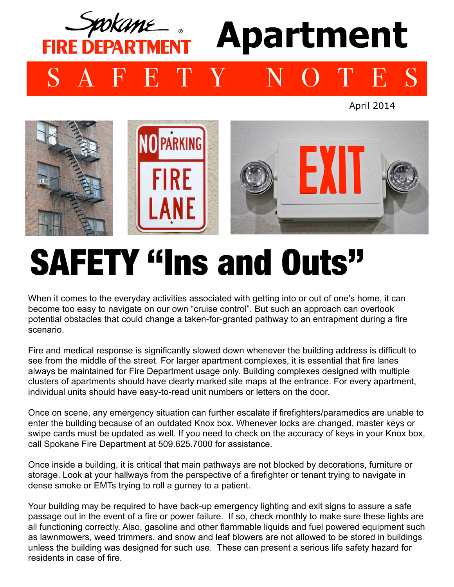

April 2014



## SAFETY "Ins and Outs"

When it comes to the everyday activities associated with getting into or out of one's home, it can become too easy to navigate on our own "cruise control". But such an approach can overlook potential obstacles that could change a taken-for-granted pathway to an entrapment during a fire scenario.

Fire and medical response is significantly slowed down whenever the building address is difficult to see from the middle of the street. For larger apartment complexes, it is essential that fire lanes always be maintained for Fire Department usage only. Building complexes designed with multiple clusters of apartments should have clearly marked site maps at the entrance. For every apartment, individual units should have easy-to-read unit numbers or letters on the door.

Once on scene, any emergency situation can further escalate if firefighters/paramedics are unable to enter the building because of an outdated Knox box. Whenever locks are changed, master keys or swipe cards must be updated as well. If you need to check on the accuracy of keys in your Knox box, call Spokane Fire Department at 509.625.7000 for assistance.

Once inside a building, it is critical that main pathways are not blocked by decorations, furniture or storage. Look at your hallways from the perspective of a firefighter or tenant trying to navigate in dense smoke or EMTs trying to roll a gurney to a patient.

Your building may be required to have back-up emergency lighting and exit signs to assure a safe passage out in the event of a fire or power failure. If so, check monthly to make sure these lights are all functioning correctly. Also, gasoline and other flammable liquids and fuel powered equipment such as lawnmowers, weed trimmers, and snow and leaf blowers are not allowed to be stored in buildings unless the building was designed for such use. These can present a serious life safety hazard for residents in case of fire.